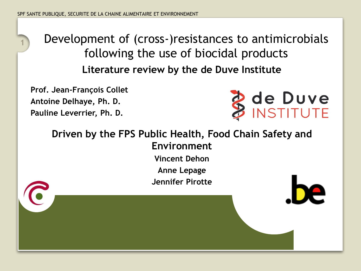### **Literature review by the de Duve Institute <sup>1</sup>** Development of (cross-)resistances to antimicrobials following the use of biocidal products

**Prof. Jean-François Collet Antoine Delhaye, Ph. D. Pauline Leverrier, Ph. D.**



**Driven by the FPS Public Health, Food Chain Safety and Environment Vincent Dehon Anne Lepage Jennifer Pirotte**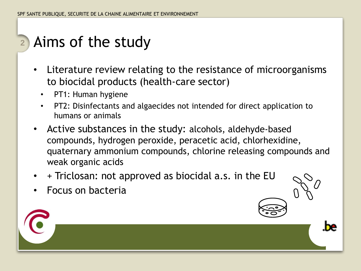#### Aims of the study **2**

- Literature review relating to the resistance of microorganisms to biocidal products (health-care sector)
	- PT1: Human hygiene
	- PT2: Disinfectants and algaecides not intended for direct application to humans or animals
- Active substances in the study: alcohols, aldehyde-based compounds, hydrogen peroxide, peracetic acid, chlorhexidine, quaternary ammonium compounds, chlorine releasing compounds and weak organic acids
- + Triclosan: not approved as biocidal a.s. in the EU
- Focus on bacteria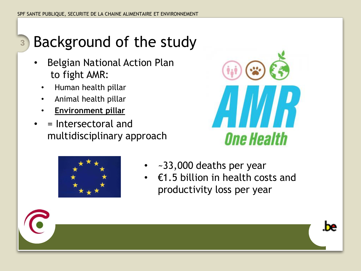#### Background of the study **3**

- Belgian National Action Plan to fight AMR:
	- Human health pillar
	- Animal health pillar
	- **Environment pillar**
- = Intersectoral and multidisciplinary approach





be

- ~33,000 deaths per year
- $£1.5$  billion in health costs and productivity loss per year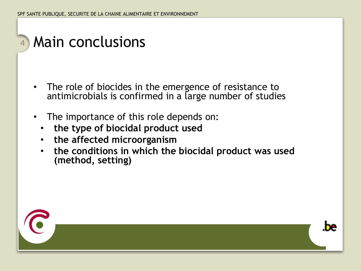- The role of biocides in the emergence of resistance to antimicrobials is confirmed in a large number of studies
- The importance of this role depends on:
	- **the type of biocidal product used**
	- **the affected microorganism**
	- **the conditions in which the biocidal product was used (method, setting)**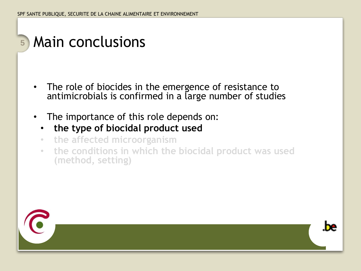- The role of biocides in the emergence of resistance to antimicrobials is confirmed in a large number of studies
- The importance of this role depends on:
	- **the type of biocidal product used**
	- **the affected microorganism**
	- **the conditions in which the biocidal product was used (method, setting)**



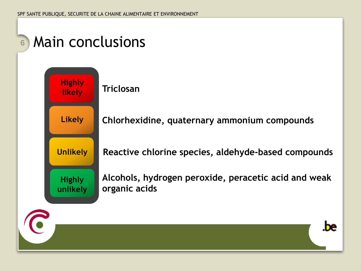**Likely**

**Unlikely**

**Highly unlikely**

**Highly likely**

### **Triclosan**

**Chlorhexidine, quaternary ammonium compounds**

**Reactive chlorine species, aldehyde-based compounds**

**Alcohols, hydrogen peroxide, peracetic acid and weak organic acids**

.be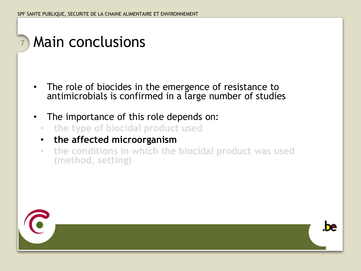- The role of biocides in the emergence of resistance to antimicrobials is confirmed in a large number of studies
- The importance of this role depends on:
	- **the type of biocidal product used**
	- **the affected microorganism**
	- **the conditions in which the biocidal product was used (method, setting)**



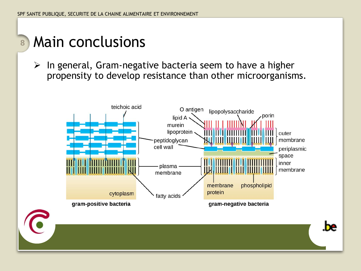$\triangleright$  In general, Gram-negative bacteria seem to have a higher propensity to develop resistance than other microorganisms.



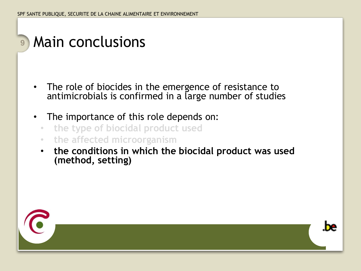- The role of biocides in the emergence of resistance to antimicrobials is confirmed in a large number of studies
- The importance of this role depends on:
	- **the type of biocidal product used**
	- **the affected microorganism**
	- **the conditions in which the biocidal product was used (method, setting)**



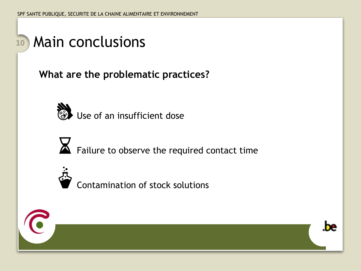**What are the problematic practices?**



 $\cdot$  Use of an insufficient dose



**EX** Failure to observe the required contact time



• Contamination of stock solutions



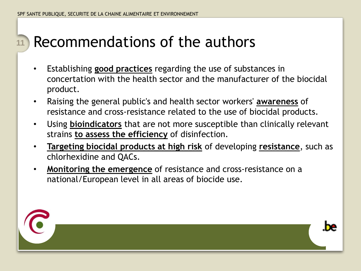#### Recommendations of the authors **11**

- Establishing **good practices** regarding the use of substances in concertation with the health sector and the manufacturer of the biocidal product.
- Raising the general public's and health sector workers' **awareness** of resistance and cross-resistance related to the use of biocidal products.
- Using **bioindicators** that are not more susceptible than clinically relevant strains **to assess the efficiency** of disinfection.
- **Targeting biocidal products at high risk** of developing **resistance**, such as chlorhexidine and QACs.
- **Monitoring the emergence** of resistance and cross-resistance on a national/European level in all areas of biocide use.

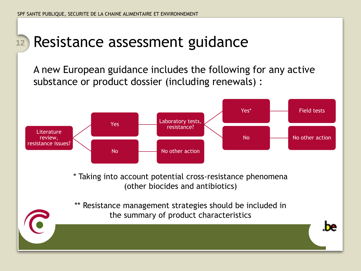## **<sup>12</sup>** Resistance assessment guidance

A new European guidance includes the following for any active substance or product dossier (including renewals) :



\*\* Resistance management strategies should be included in the summary of product characteristics

be.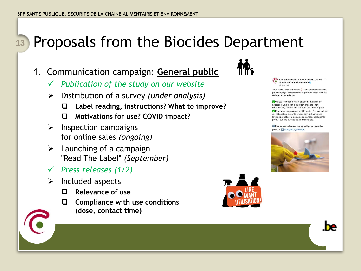- 1. Communication campaign: **General public**
	- ✓ *Publication of the study on our website*
	- ➢ Distribution of a survey *(under analysis)*
		- ❑ **Label reading, instructions? What to improve?**
		- ❑ **Motivations for use? COVID impact?**
	- $\triangleright$  Inspection campaigns for online sales *(ongoing)*
	- $\triangleright$  Launching of a campaign "Read The Label" *(September)*
	- ✓ *Press releases (1/2)*
	- $\triangleright$  Included aspects
		- ❑ **Relevance of use**
		- ❑ **Compliance with use conditions (dose, contact time)**



SPF Santé publique, Sécurité de la Chaîne alimentaire et Environnement 18 févr.  $\cdot$  G

Vous utilisez du désinfectant ? Voici quelques conseils pour l'employer correctement et prévenir l'apparition de résistance bactérienne:

Ultilisez les désinfectants uniquement en cas de nécessité. Un produit d'entretien ordinaire (non désinfectant) est souvent suffisant pour le nettoyage Respectez scrupuleusement le mode d'emploi indiqué sur l'étiquette : laisser le produit agir suffisamment longtemps, utiliser la dose recommandée, appliquer le produit sur une surface déjà nettovée etc.

Plus de conseils pour une utilisation correcte des produits Dihttps://bit.ly/3rXouOK



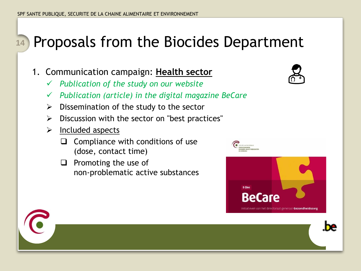- 1. Communication campaign: **Health sector**
	- ✓ *Publication of the study on our website*
	- ✓ *Publication (article) in the digital magazine BeCare*
	- $\triangleright$  Dissemination of the study to the sector
	- $\triangleright$  Discussion with the sector on "best practices"
	- $\triangleright$  Included aspects
		- ❑ Compliance with conditions of use (dose, contact time)
		- ❑ Promoting the use of non-problematic active substances







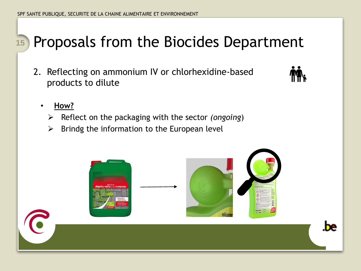2. Reflecting on ammonium IV or chlorhexidine-based products to dilute



### • **How?**

- ➢ Reflect on the packaging with the sector *(ongoing*)
- $\triangleright$  Brindg the information to the European level

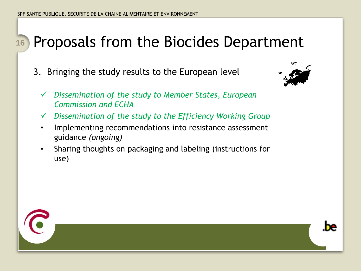3. Bringing the study results to the European level



- ✓ *Dissemination of the study to Member States, European Commission and ECHA*
- ✓ *Dissemination of the study to the Efficiency Working Group*
- Implementing recommendations into resistance assessment guidance *(ongoing)*
- Sharing thoughts on packaging and labeling (instructions for use)